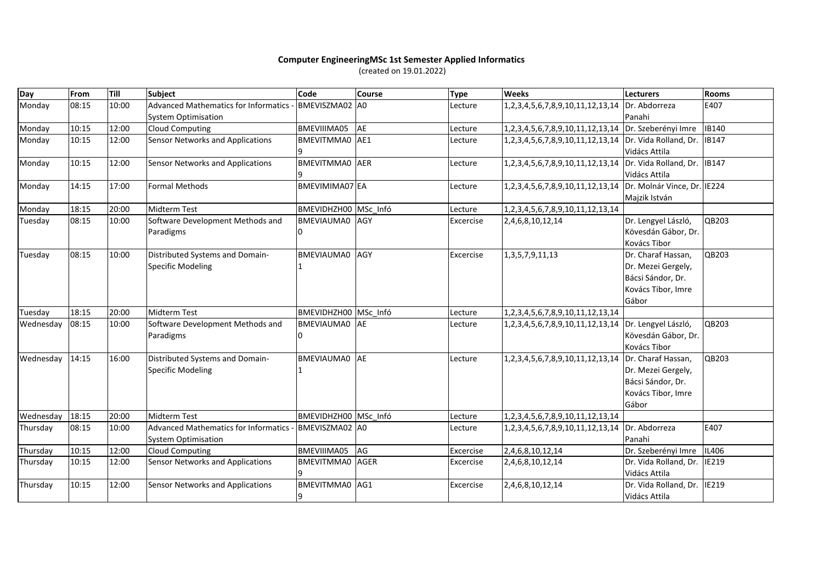## **Computer EngineeringMSc 1st Semester Applied Informatics**

(created on 19.01.2022)

| Day       | <b>From</b> | Till  | Subject                                     | Code                  | <b>Course</b> | <b>Type</b> | <b>Weeks</b>                                                 | <b>Lecturers</b>      | <b>Rooms</b> |
|-----------|-------------|-------|---------------------------------------------|-----------------------|---------------|-------------|--------------------------------------------------------------|-----------------------|--------------|
| Monday    | 08:15       | 10:00 | <b>Advanced Mathematics for Informatics</b> | BMEVISZMA02 A0        |               | Lecture     | 1,2,3,4,5,6,7,8,9,10,11,12,13,14 Dr. Abdorreza               |                       | E407         |
|           |             |       | <b>System Optimisation</b>                  |                       |               |             |                                                              | Panahi                |              |
| Monday    | 10:15       | 12:00 | <b>Cloud Computing</b>                      | BMEVIIIMA05           | AE            | Lecture     | 1,2,3,4,5,6,7,8,9,10,11,12,13,14 Dr. Szeberényi Imre         |                       | <b>IB140</b> |
| Monday    | 10:15       | 12:00 | Sensor Networks and Applications            | BMEVITMMA0 AE1        |               | Lecture     | 1,2,3,4,5,6,7,8,9,10,11,12,13,14   Dr. Vida Rolland, Dr.     |                       | <b>IB147</b> |
|           |             |       |                                             |                       |               |             |                                                              | Vidács Attila         |              |
| Monday    | 10:15       | 12:00 | Sensor Networks and Applications            | BMEVITMMA0 AER        |               | Lecture     | 1,2,3,4,5,6,7,8,9,10,11,12,13,14 Dr. Vida Rolland, Dr.       |                       | <b>IB147</b> |
|           |             |       |                                             |                       |               |             |                                                              | Vidács Attila         |              |
| Monday    | 14:15       | 17:00 | Formal Methods                              | BMEVIMIMA07 EA        |               | Lecture     | 1,2,3,4,5,6,7,8,9,10,11,12,13,14 Dr. Molnár Vince, Dr. IE224 |                       |              |
|           |             |       |                                             |                       |               |             |                                                              | Majzik István         |              |
| Monday    | 18:15       | 20:00 | <b>Midterm Test</b>                         | BMEVIDHZH00 MSc Infó  |               | Lecture     | 1,2,3,4,5,6,7,8,9,10,11,12,13,14                             |                       |              |
| Tuesday   | 08:15       | 10:00 | Software Development Methods and            | BMEVIAUMA0 AGY        |               | Excercise   | 2,4,6,8,10,12,14                                             | Dr. Lengyel László,   | QB203        |
|           |             |       | Paradigms                                   | o                     |               |             |                                                              | Kövesdán Gábor, Dr.   |              |
|           |             |       |                                             |                       |               |             |                                                              | Kovács Tibor          |              |
| Tuesday   | 08:15       | 10:00 | Distributed Systems and Domain-             | BMEVIAUMA0            | <b>AGY</b>    | Excercise   | 1, 3, 5, 7, 9, 11, 13                                        | Dr. Charaf Hassan,    | QB203        |
|           |             |       | Specific Modeling                           |                       |               |             |                                                              | Dr. Mezei Gergely,    |              |
|           |             |       |                                             |                       |               |             |                                                              | Bácsi Sándor, Dr.     |              |
|           |             |       |                                             |                       |               |             |                                                              | Kovács Tibor, Imre    |              |
|           |             |       |                                             |                       |               |             |                                                              | Gábor                 |              |
| Tuesday   | 18:15       | 20:00 | <b>Midterm Test</b>                         | BMEVIDHZH00 MSc Infó  |               | Lecture     | 1,2,3,4,5,6,7,8,9,10,11,12,13,14                             |                       |              |
| Wednesday | 08:15       | 10:00 | Software Development Methods and            | BMEVIAUMA0 AE         |               | Lecture     | 1,2,3,4,5,6,7,8,9,10,11,12,13,14 Dr. Lengyel László,         |                       | QB203        |
|           |             |       | Paradigms                                   |                       |               |             |                                                              | Kövesdán Gábor, Dr.   |              |
|           |             |       |                                             |                       |               |             |                                                              | <b>Kovács Tibor</b>   |              |
| Wednesday | 14:15       | 16:00 | Distributed Systems and Domain-             | BMEVIAUMA0 AE         |               | Lecture     | 1,2,3,4,5,6,7,8,9,10,11,12,13,14 Dr. Charaf Hassan,          |                       | QB203        |
|           |             |       | Specific Modeling                           |                       |               |             |                                                              | Dr. Mezei Gergely,    |              |
|           |             |       |                                             |                       |               |             |                                                              | Bácsi Sándor, Dr.     |              |
|           |             |       |                                             |                       |               |             |                                                              | Kovács Tibor, Imre    |              |
|           |             |       |                                             |                       |               |             |                                                              | Gábor                 |              |
| Wednesday | 18:15       | 20:00 | <b>Midterm Test</b>                         | BMEVIDHZH00 MSc Infó  |               | Lecture     | 1, 2, 3, 4, 5, 6, 7, 8, 9, 10, 11, 12, 13, 14                |                       |              |
| Thursday  | 08:15       | 10:00 | Advanced Mathematics for Informatics        | BMEVISZMA02 A0        |               | Lecture     | 1,2,3,4,5,6,7,8,9,10,11,12,13,14                             | Dr. Abdorreza         | E407         |
|           |             |       | <b>System Optimisation</b>                  |                       |               |             |                                                              | Panahi                |              |
| Thursday  | 10:15       | 12:00 | <b>Cloud Computing</b>                      | BMEVIIIMA05           | AG            | Excercise   | 2,4,6,8,10,12,14                                             | Dr. Szeberényi Imre   | <b>IL406</b> |
| Thursday  | 10:15       | 12:00 | Sensor Networks and Applications            | BMEVITMMA0 AGER       |               | Excercise   | 2,4,6,8,10,12,14                                             | Dr. Vida Rolland, Dr. | IE219        |
|           |             |       |                                             | ٩                     |               |             |                                                              | Vidács Attila         |              |
| Thursday  | 10:15       | 12:00 | Sensor Networks and Applications            | <b>BMEVITMMA0</b> AG1 |               | Excercise   | 2,4,6,8,10,12,14                                             | Dr. Vida Rolland, Dr. | IE219        |
|           |             |       |                                             | 9                     |               |             |                                                              | Vidács Attila         |              |